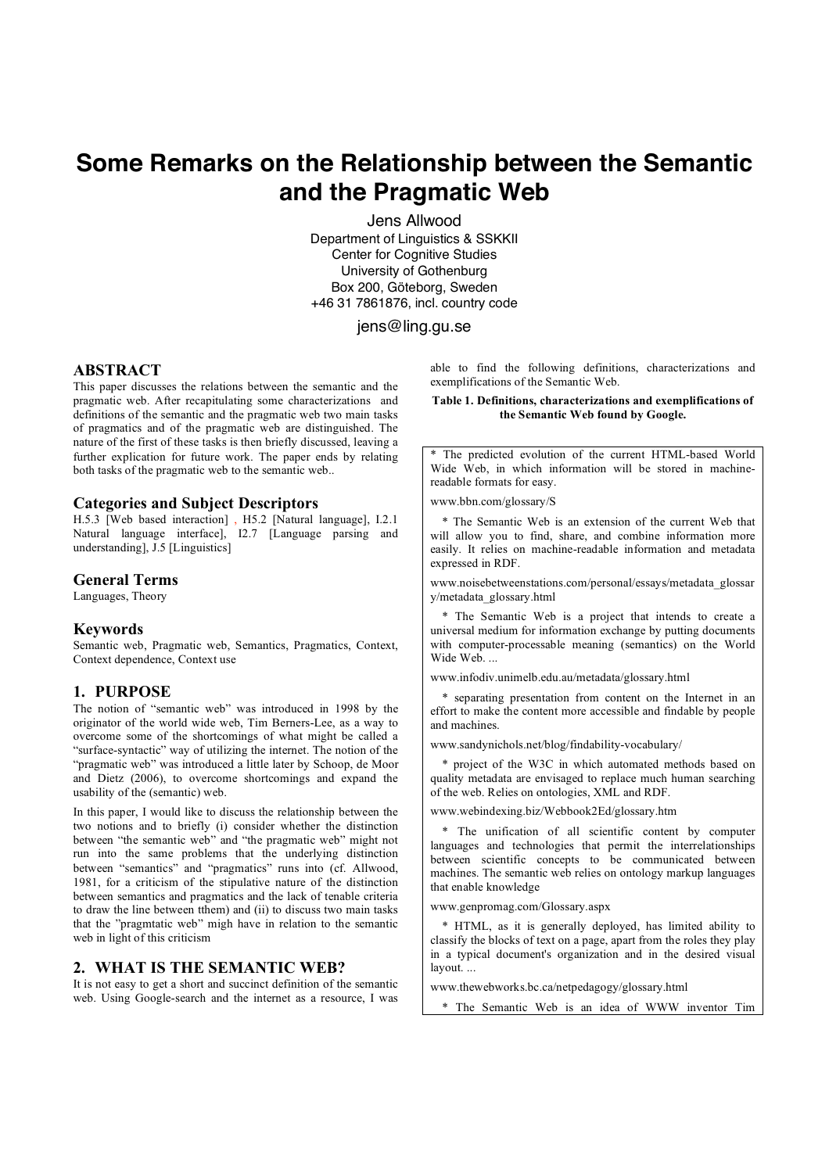# **Some Remarks on the Relationship between the Semantic and the Pragmatic Web**

Jens Allwood Department of Linguistics & SSKKII Center for Cognitive Studies University of Gothenburg Box 200, Göteborg, Sweden +46 31 7861876, incl. country code

## jens@ling.gu.se

## **ABSTRACT**

This paper discusses the relations between the semantic and the pragmatic web. After recapitulating some characterizations and definitions of the semantic and the pragmatic web two main tasks of pragmatics and of the pragmatic web are distinguished. The nature of the first of these tasks is then briefly discussed, leaving a further explication for future work. The paper ends by relating both tasks of the pragmatic web to the semantic web..

#### **Categories and Subject Descriptors**

H.5.3 [Web based interaction] , H5.2 [Natural language], I.2.1 Natural language interface], I2.7 [Language parsing and understanding], J.5 [Linguistics]

#### **General Terms**

Languages, Theory

#### **Keywords**

Semantic web, Pragmatic web, Semantics, Pragmatics, Context, Context dependence, Context use

#### **1. PURPOSE**

The notion of "semantic web" was introduced in 1998 by the originator of the world wide web, Tim Berners-Lee, as a way to overcome some of the shortcomings of what might be called a "surface-syntactic" way of utilizing the internet. The notion of the "pragmatic web" was introduced a little later by Schoop, de Moor and Dietz (2006), to overcome shortcomings and expand the usability of the (semantic) web.

In this paper, I would like to discuss the relationship between the two notions and to briefly (i) consider whether the distinction between "the semantic web" and "the pragmatic web" might not run into the same problems that the underlying distinction between "semantics" and "pragmatics" runs into (cf. Allwood, 1981, for a criticism of the stipulative nature of the distinction between semantics and pragmatics and the lack of tenable criteria to draw the line between tthem) and (ii) to discuss two main tasks that the "pragmtatic web" migh have in relation to the semantic web in light of this criticism

# **2. WHAT IS THE SEMANTIC WEB?**

It is not easy to get a short and succinct definition of the semantic web. Using Google-search and the internet as a resource, I was able to find the following definitions, characterizations and exemplifications of the Semantic Web.

#### **Table 1. Definitions, characterizations and exemplifications of the Semantic Web found by Google.**

The predicted evolution of the current HTML-based World Wide Web, in which information will be stored in machinereadable formats for easy.

www.bbn.com/glossary/S

 \* The Semantic Web is an extension of the current Web that will allow you to find, share, and combine information more easily. It relies on machine-readable information and metadata expressed in RDF.

www.noisebetweenstations.com/personal/essays/metadata\_glossar y/metadata\_glossary.html

 \* The Semantic Web is a project that intends to create a universal medium for information exchange by putting documents with computer-processable meaning (semantics) on the World Wide Web. .

www.infodiv.unimelb.edu.au/metadata/glossary.html

 \* separating presentation from content on the Internet in an effort to make the content more accessible and findable by people and machines.

www.sandynichols.net/blog/findability-vocabulary/

 \* project of the W3C in which automated methods based on quality metadata are envisaged to replace much human searching of the web. Relies on ontologies, XML and RDF.

www.webindexing.biz/Webbook2Ed/glossary.htm

 \* The unification of all scientific content by computer languages and technologies that permit the interrelationships between scientific concepts to be communicated between machines. The semantic web relies on ontology markup languages that enable knowledge

www.genpromag.com/Glossary.aspx

 \* HTML, as it is generally deployed, has limited ability to classify the blocks of text on a page, apart from the roles they play in a typical document's organization and in the desired visual layout. ...

www.thewebworks.bc.ca/netpedagogy/glossary.html

\* The Semantic Web is an idea of WWW inventor Tim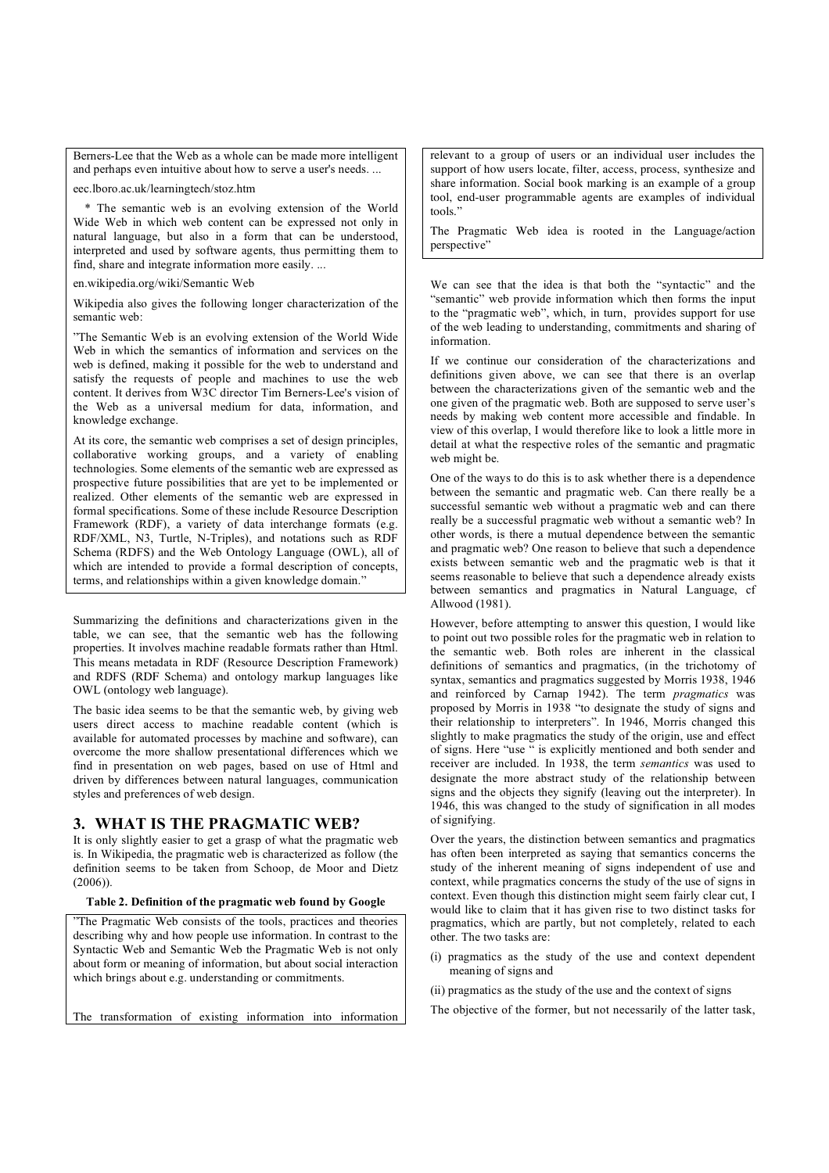Berners-Lee that the Web as a whole can be made more intelligent and perhaps even intuitive about how to serve a user's needs. ...

eec.lboro.ac.uk/learningtech/stoz.htm

 \* The semantic web is an evolving extension of the World Wide Web in which web content can be expressed not only in natural language, but also in a form that can be understood, interpreted and used by software agents, thus permitting them to find, share and integrate information more easily. ...

en.wikipedia.org/wiki/Semantic Web

Wikipedia also gives the following longer characterization of the semantic web:

"The Semantic Web is an evolving extension of the World Wide Web in which the semantics of information and services on the web is defined, making it possible for the web to understand and satisfy the requests of people and machines to use the web content. It derives from W3C director Tim Berners-Lee's vision of the Web as a universal medium for data, information, and knowledge exchange.

At its core, the semantic web comprises a set of design principles, collaborative working groups, and a variety of enabling technologies. Some elements of the semantic web are expressed as prospective future possibilities that are yet to be implemented or realized. Other elements of the semantic web are expressed in formal specifications. Some of these include Resource Description Framework (RDF), a variety of data interchange formats (e.g. RDF/XML, N3, Turtle, N-Triples), and notations such as RDF Schema (RDFS) and the Web Ontology Language (OWL), all of which are intended to provide a formal description of concepts, terms, and relationships within a given knowledge domain."

Summarizing the definitions and characterizations given in the table, we can see, that the semantic web has the following properties. It involves machine readable formats rather than Html. This means metadata in RDF (Resource Description Framework) and RDFS (RDF Schema) and ontology markup languages like OWL (ontology web language).

The basic idea seems to be that the semantic web, by giving web users direct access to machine readable content (which is available for automated processes by machine and software), can overcome the more shallow presentational differences which we find in presentation on web pages, based on use of Html and driven by differences between natural languages, communication styles and preferences of web design.

# **3. WHAT IS THE PRAGMATIC WEB?**

It is only slightly easier to get a grasp of what the pragmatic web is. In Wikipedia, the pragmatic web is characterized as follow (the definition seems to be taken from Schoop, de Moor and Dietz (2006)).

#### **Table 2. Definition of the pragmatic web found by Google**

"The Pragmatic Web consists of the tools, practices and theories describing why and how people use information. In contrast to the Syntactic Web and Semantic Web the Pragmatic Web is not only about form or meaning of information, but about social interaction which brings about e.g. understanding or commitments.

The transformation of existing information into information

relevant to a group of users or an individual user includes the support of how users locate, filter, access, process, synthesize and share information. Social book marking is an example of a group tool, end-user programmable agents are examples of individual tools."

The Pragmatic Web idea is rooted in the Language/action perspective"

We can see that the idea is that both the "syntactic" and the "semantic" web provide information which then forms the input to the "pragmatic web", which, in turn, provides support for use of the web leading to understanding, commitments and sharing of information.

If we continue our consideration of the characterizations and definitions given above, we can see that there is an overlap between the characterizations given of the semantic web and the one given of the pragmatic web. Both are supposed to serve user's needs by making web content more accessible and findable. In view of this overlap, I would therefore like to look a little more in detail at what the respective roles of the semantic and pragmatic web might be.

One of the ways to do this is to ask whether there is a dependence between the semantic and pragmatic web. Can there really be a successful semantic web without a pragmatic web and can there really be a successful pragmatic web without a semantic web? In other words, is there a mutual dependence between the semantic and pragmatic web? One reason to believe that such a dependence exists between semantic web and the pragmatic web is that it seems reasonable to believe that such a dependence already exists between semantics and pragmatics in Natural Language, cf Allwood (1981).

However, before attempting to answer this question, I would like to point out two possible roles for the pragmatic web in relation to the semantic web. Both roles are inherent in the classical definitions of semantics and pragmatics, (in the trichotomy of syntax, semantics and pragmatics suggested by Morris 1938, 1946 and reinforced by Carnap 1942). The term *pragmatics* was proposed by Morris in 1938 "to designate the study of signs and their relationship to interpreters". In 1946, Morris changed this slightly to make pragmatics the study of the origin, use and effect of signs. Here "use " is explicitly mentioned and both sender and receiver are included. In 1938, the term *semantics* was used to designate the more abstract study of the relationship between signs and the objects they signify (leaving out the interpreter). In 1946, this was changed to the study of signification in all modes of signifying.

Over the years, the distinction between semantics and pragmatics has often been interpreted as saying that semantics concerns the study of the inherent meaning of signs independent of use and context, while pragmatics concerns the study of the use of signs in context. Even though this distinction might seem fairly clear cut, I would like to claim that it has given rise to two distinct tasks for pragmatics, which are partly, but not completely, related to each other. The two tasks are:

- (i) pragmatics as the study of the use and context dependent meaning of signs and
- (ii) pragmatics as the study of the use and the context of signs

The objective of the former, but not necessarily of the latter task,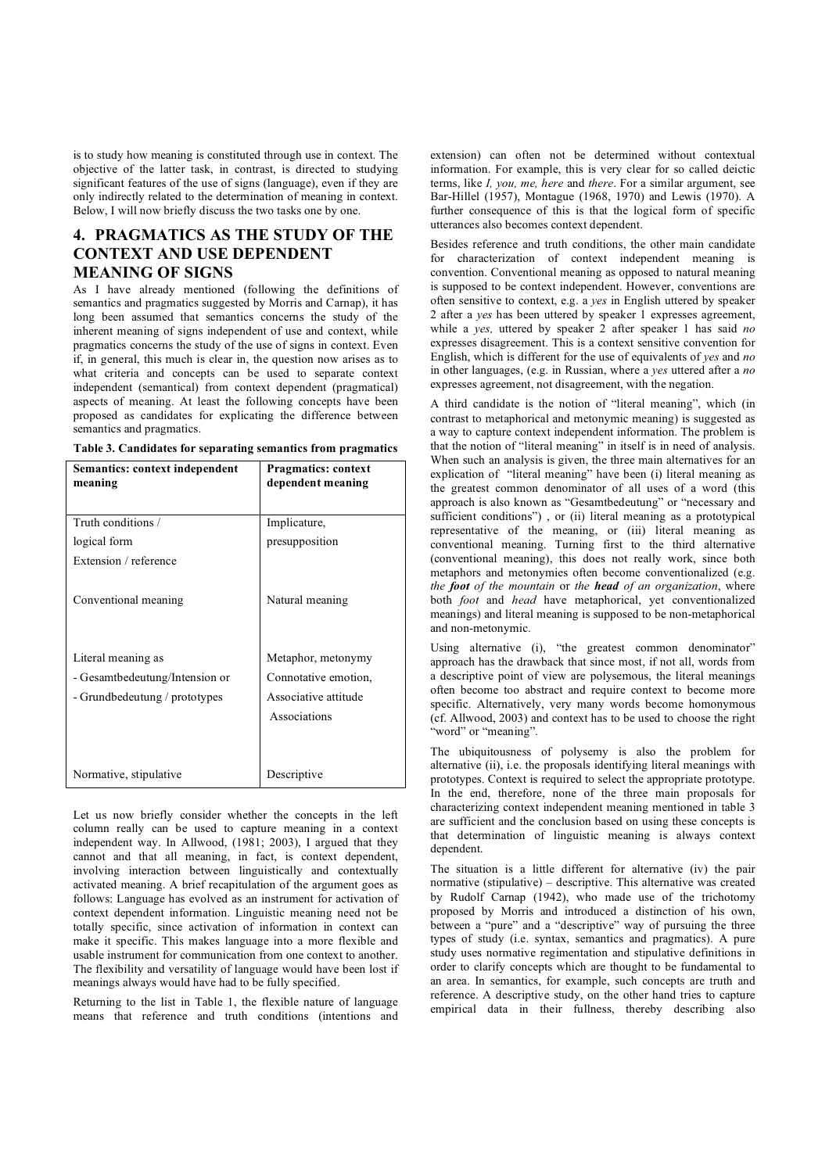is to study how meaning is constituted through use in context. The objective of the latter task, in contrast, is directed to studying significant features of the use of signs (language), even if they are only indirectly related to the determination of meaning in context. Below, I will now briefly discuss the two tasks one by one.

# **4. PRAGMATICS AS THE STUDY OF THE CONTEXT AND USE DEPENDENT MEANING OF SIGNS**

As I have already mentioned (following the definitions of semantics and pragmatics suggested by Morris and Carnap), it has long been assumed that semantics concerns the study of the inherent meaning of signs independent of use and context, while pragmatics concerns the study of the use of signs in context. Even if, in general, this much is clear in, the question now arises as to what criteria and concepts can be used to separate context independent (semantical) from context dependent (pragmatical) aspects of meaning. At least the following concepts have been proposed as candidates for explicating the difference between semantics and pragmatics.

| Table 3. Candidates for separating semantics from pragmatics |  |
|--------------------------------------------------------------|--|
|--------------------------------------------------------------|--|

| Semantics: context independent<br>meaning                                             | <b>Pragmatics: context</b><br>dependent meaning                                    |
|---------------------------------------------------------------------------------------|------------------------------------------------------------------------------------|
| Truth conditions /                                                                    | Implicature,                                                                       |
| logical form                                                                          | presupposition                                                                     |
| Extension / reference<br>Conventional meaning                                         | Natural meaning                                                                    |
| Literal meaning as<br>- Gesamtbedeutung/Intension or<br>- Grundbedeutung / prototypes | Metaphor, metonymy<br>Connotative emotion,<br>Associative attitude<br>Associations |
| Normative, stipulative                                                                | Descriptive                                                                        |

Let us now briefly consider whether the concepts in the left column really can be used to capture meaning in a context independent way. In Allwood, (1981; 2003), I argued that they cannot and that all meaning, in fact, is context dependent, involving interaction between linguistically and contextually activated meaning. A brief recapitulation of the argument goes as follows: Language has evolved as an instrument for activation of context dependent information. Linguistic meaning need not be totally specific, since activation of information in context can make it specific. This makes language into a more flexible and usable instrument for communication from one context to another. The flexibility and versatility of language would have been lost if meanings always would have had to be fully specified.

Returning to the list in Table 1, the flexible nature of language means that reference and truth conditions (intentions and extension) can often not be determined without contextual information. For example, this is very clear for so called deictic terms, like *I, you, me, here* and *there*. For a similar argument, see Bar-Hillel (1957), Montague (1968, 1970) and Lewis (1970). A further consequence of this is that the logical form of specific utterances also becomes context dependent.

Besides reference and truth conditions, the other main candidate for characterization of context independent meaning is convention. Conventional meaning as opposed to natural meaning is supposed to be context independent. However, conventions are often sensitive to context, e.g. a *yes* in English uttered by speaker 2 after a *yes* has been uttered by speaker 1 expresses agreement, while a *yes,* uttered by speaker 2 after speaker 1 has said *no* expresses disagreement. This is a context sensitive convention for English, which is different for the use of equivalents of *yes* and *no*  in other languages, (e.g. in Russian, where a *yes* uttered after a *no* expresses agreement, not disagreement, with the negation.

A third candidate is the notion of "literal meaning", which (in contrast to metaphorical and metonymic meaning) is suggested as a way to capture context independent information. The problem is that the notion of "literal meaning" in itself is in need of analysis. When such an analysis is given, the three main alternatives for an explication of "literal meaning" have been (i) literal meaning as the greatest common denominator of all uses of a word (this approach is also known as "Gesamtbedeutung" or "necessary and sufficient conditions"), or (ii) literal meaning as a prototypical representative of the meaning, or (iii) literal meaning as conventional meaning. Turning first to the third alternative (conventional meaning), this does not really work, since both metaphors and metonymies often become conventionalized (e.g. *the foot of the mountain* or *the head of an organization*, where both *foot* and *head* have metaphorical, yet conventionalized meanings) and literal meaning is supposed to be non-metaphorical and non-metonymic.

Using alternative (i), "the greatest common denominator" approach has the drawback that since most, if not all, words from a descriptive point of view are polysemous, the literal meanings often become too abstract and require context to become more specific. Alternatively, very many words become homonymous (cf. Allwood, 2003) and context has to be used to choose the right "word" or "meaning".

The ubiquitousness of polysemy is also the problem for alternative (ii), i.e. the proposals identifying literal meanings with prototypes. Context is required to select the appropriate prototype. In the end, therefore, none of the three main proposals for characterizing context independent meaning mentioned in table 3 are sufficient and the conclusion based on using these concepts is that determination of linguistic meaning is always context dependent.

The situation is a little different for alternative (iv) the pair normative (stipulative) – descriptive. This alternative was created by Rudolf Carnap (1942), who made use of the trichotomy proposed by Morris and introduced a distinction of his own, between a "pure" and a "descriptive" way of pursuing the three types of study (i.e. syntax, semantics and pragmatics). A pure study uses normative regimentation and stipulative definitions in order to clarify concepts which are thought to be fundamental to an area. In semantics, for example, such concepts are truth and reference. A descriptive study, on the other hand tries to capture empirical data in their fullness, thereby describing also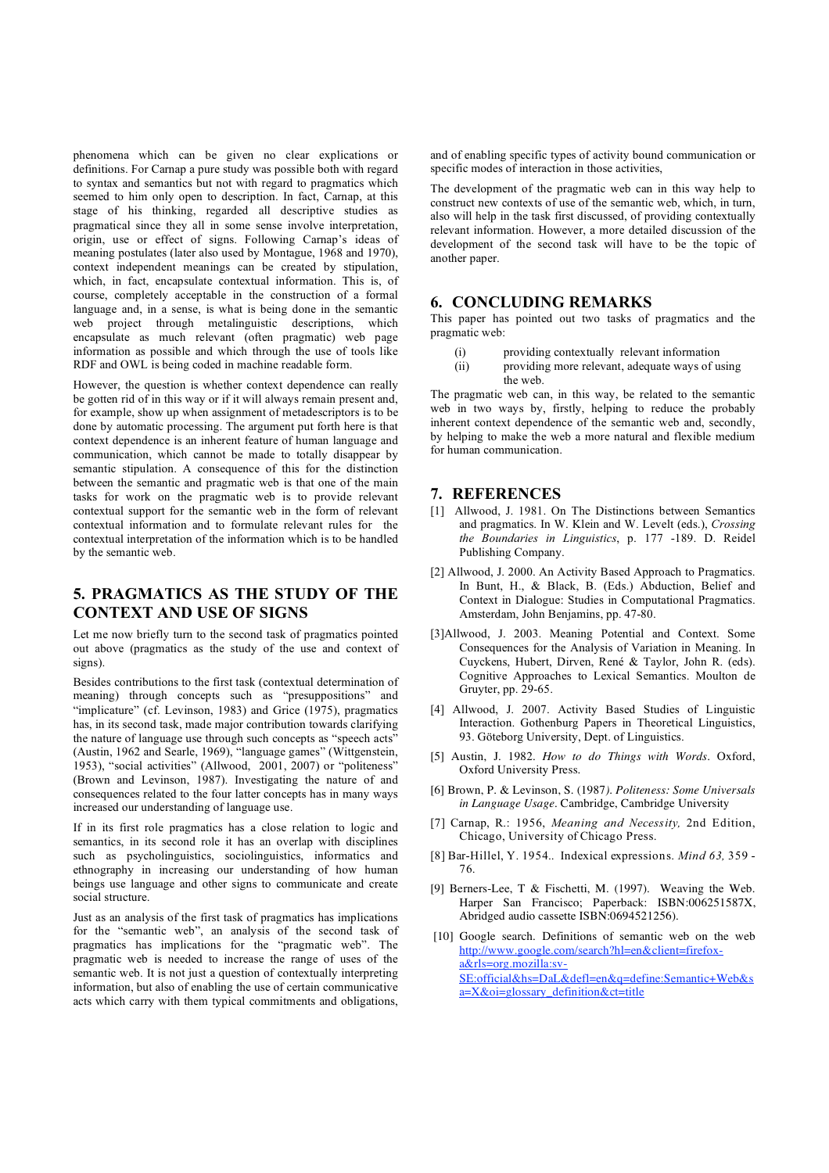phenomena which can be given no clear explications or definitions. For Carnap a pure study was possible both with regard to syntax and semantics but not with regard to pragmatics which seemed to him only open to description. In fact, Carnap, at this stage of his thinking, regarded all descriptive studies as pragmatical since they all in some sense involve interpretation, origin, use or effect of signs. Following Carnap's ideas of meaning postulates (later also used by Montague, 1968 and 1970), context independent meanings can be created by stipulation, which, in fact, encapsulate contextual information. This is, of course, completely acceptable in the construction of a formal language and, in a sense, is what is being done in the semantic web project through metalinguistic descriptions, which encapsulate as much relevant (often pragmatic) web page information as possible and which through the use of tools like RDF and OWL is being coded in machine readable form.

However, the question is whether context dependence can really be gotten rid of in this way or if it will always remain present and, for example, show up when assignment of metadescriptors is to be done by automatic processing. The argument put forth here is that context dependence is an inherent feature of human language and communication, which cannot be made to totally disappear by semantic stipulation. A consequence of this for the distinction between the semantic and pragmatic web is that one of the main tasks for work on the pragmatic web is to provide relevant contextual support for the semantic web in the form of relevant contextual information and to formulate relevant rules for the contextual interpretation of the information which is to be handled by the semantic web.

# **5. PRAGMATICS AS THE STUDY OF THE CONTEXT AND USE OF SIGNS**

Let me now briefly turn to the second task of pragmatics pointed out above (pragmatics as the study of the use and context of signs).

Besides contributions to the first task (contextual determination of meaning) through concepts such as "presuppositions" and "implicature" (cf. Levinson, 1983) and Grice (1975), pragmatics has, in its second task, made major contribution towards clarifying the nature of language use through such concepts as "speech acts" (Austin, 1962 and Searle, 1969), "language games" (Wittgenstein, 1953), "social activities" (Allwood, 2001, 2007) or "politeness" (Brown and Levinson, 1987). Investigating the nature of and consequences related to the four latter concepts has in many ways increased our understanding of language use.

If in its first role pragmatics has a close relation to logic and semantics, in its second role it has an overlap with disciplines such as psycholinguistics, sociolinguistics, informatics and ethnography in increasing our understanding of how human beings use language and other signs to communicate and create social structure.

Just as an analysis of the first task of pragmatics has implications for the "semantic web", an analysis of the second task of pragmatics has implications for the "pragmatic web". The pragmatic web is needed to increase the range of uses of the semantic web. It is not just a question of contextually interpreting information, but also of enabling the use of certain communicative acts which carry with them typical commitments and obligations,

and of enabling specific types of activity bound communication or specific modes of interaction in those activities,

The development of the pragmatic web can in this way help to construct new contexts of use of the semantic web, which, in turn, also will help in the task first discussed, of providing contextually relevant information. However, a more detailed discussion of the development of the second task will have to be the topic of another paper.

# **6. CONCLUDING REMARKS**

This paper has pointed out two tasks of pragmatics and the pragmatic web:

- (i) providing contextually relevant information
- (ii) providing more relevant, adequate ways of using the web.

The pragmatic web can, in this way, be related to the semantic web in two ways by, firstly, helping to reduce the probably inherent context dependence of the semantic web and, secondly, by helping to make the web a more natural and flexible medium for human communication.

# **7. REFERENCES**

- [1] Allwood, J. 1981. On The Distinctions between Semantics and pragmatics. In W. Klein and W. Levelt (eds.), *Crossing the Boundaries in Linguistics*, p. 177 -189. D. Reidel Publishing Company.
- [2] Allwood, J. 2000. An Activity Based Approach to Pragmatics. In Bunt, H., & Black, B. (Eds.) Abduction, Belief and Context in Dialogue: Studies in Computational Pragmatics. Amsterdam, John Benjamins, pp. 47-80.
- [3]Allwood, J. 2003. Meaning Potential and Context. Some Consequences for the Analysis of Variation in Meaning. In Cuyckens, Hubert, Dirven, René & Taylor, John R. (eds). Cognitive Approaches to Lexical Semantics. Moulton de Gruyter, pp. 29-65.
- [4] Allwood, J. 2007. Activity Based Studies of Linguistic Interaction. Gothenburg Papers in Theoretical Linguistics, 93. Göteborg University, Dept. of Linguistics.
- [5] Austin, J. 1982. *How to do Things with Words*. Oxford, Oxford University Press.
- [6] Brown, P. & Levinson, S. (1987*). Politeness: Some Universals in Language Usage.* Cambridge, Cambridge University
- [7] Carnap, R.: 1956, *Meaning and Necessity,* 2nd Edition, Chicago, University of Chicago Press.
- [8] Bar-Hillel, Y. 1954.. Indexical expressions. *Mind 63,* 359 76.
- [9] Berners-Lee, T & Fischetti, M. (1997). Weaving the Web. Harper San Francisco; Paperback: ISBN:006251587X, Abridged audio cassette ISBN:0694521256).

[10] Google search. Definitions of semantic web on the web http://www.google.com/search?hl=en&client=firefoxa&rls=org.mozilla:sv-SE:official&hs=DaL&defl=en&q=define:Semantic+Web&s a=X&oi=glossary\_definition&ct=title